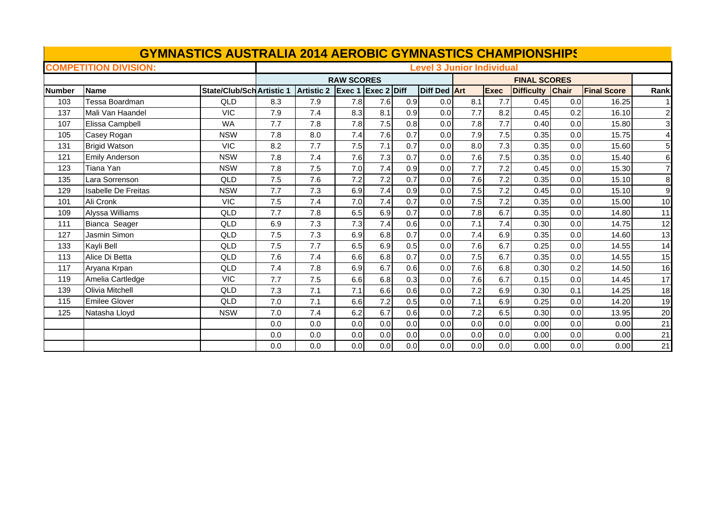| <b>GYMNASTICS AUSTRALIA 2014 AEROBIC GYMNASTICS CHAMPIONSHIPS</b> |                              |                                  |     |                   |                                  |     |     |              |                     |             |                   |              |                    |                         |  |  |
|-------------------------------------------------------------------|------------------------------|----------------------------------|-----|-------------------|----------------------------------|-----|-----|--------------|---------------------|-------------|-------------------|--------------|--------------------|-------------------------|--|--|
|                                                                   | <b>COMPETITION DIVISION:</b> |                                  |     |                   | <b>Level 3 Junior Individual</b> |     |     |              |                     |             |                   |              |                    |                         |  |  |
|                                                                   |                              | <b>RAW SCORES</b>                |     |                   |                                  |     |     |              | <b>FINAL SCORES</b> |             |                   |              |                    |                         |  |  |
| <b>Number</b>                                                     | <b>Name</b>                  | <b>State/Club/Sch Artistic 1</b> |     | <b>Artistic 2</b> | Exec 1 Exec 2 Diff               |     |     | Diff Ded Art |                     | <b>Exec</b> | <b>Difficulty</b> | <b>Chair</b> | <b>Final Score</b> | Rank                    |  |  |
| 103                                                               | Tessa Boardman               | <b>QLD</b>                       | 8.3 | 7.9               | 7.8                              | 7.6 | 0.9 | 0.0          | 8.1                 | 7.7         | 0.45              | 0.0          | 16.25              |                         |  |  |
| 137                                                               | Mali Van Haandel             | <b>VIC</b>                       | 7.9 | 7.4               | 8.3                              | 8.1 | 0.9 | 0.0          | 7.7                 | 8.2         | 0.45              | 0.2          | 16.10              | $\mathsf{2}$            |  |  |
| 107                                                               | Elissa Campbell              | <b>WA</b>                        | 7.7 | 7.8               | 7.8                              | 7.5 | 0.8 | 0.0          | 7.8                 | 7.7         | 0.40              | 0.0          | 15.80              | $\overline{\mathbf{3}}$ |  |  |
| 105                                                               | Casey Rogan                  | <b>NSW</b>                       | 7.8 | 8.0               | 7.4                              | 7.6 | 0.7 | 0.0          | 7.9                 | 7.5         | 0.35              | 0.0          | 15.75              | $\overline{4}$          |  |  |
| 131                                                               | <b>Brigid Watson</b>         | <b>VIC</b>                       | 8.2 | 7.7               | 7.5                              | 7.1 | 0.7 | 0.0          | 8.0                 | 7.3         | 0.35              | 0.0          | 15.60              | 5 <sub>l</sub>          |  |  |
| 121                                                               | <b>Emily Anderson</b>        | <b>NSW</b>                       | 7.8 | 7.4               | 7.6                              | 7.3 | 0.7 | 0.0          | 7.6                 | 7.5         | 0.35              | 0.0          | 15.40              | 6                       |  |  |
| 123                                                               | Tiana Yan                    | <b>NSW</b>                       | 7.8 | 7.5               | 7.0                              | 7.4 | 0.9 | 0.0          | 7.7                 | 7.2         | 0.45              | 0.0          | 15.30              | $\mathbf{Z}$            |  |  |
| 135                                                               | Lara Sorrenson               | QLD                              | 7.5 | 7.6               | 7.2                              | 7.2 | 0.7 | 0.0          | 7.6                 | 7.2         | 0.35              | 0.0          | 15.10              | 8                       |  |  |
| 129                                                               | <b>Isabelle De Freitas</b>   | <b>NSW</b>                       | 7.7 | 7.3               | 6.9                              | 7.4 | 0.9 | 0.0          | 7.5                 | 7.2         | 0.45              | 0.0          | 15.10              | 9                       |  |  |
| 101                                                               | Ali Cronk                    | <b>VIC</b>                       | 7.5 | 7.4               | 7.0                              | 7.4 | 0.7 | 0.0          | 7.5                 | 7.2         | 0.35              | 0.0          | 15.00              | 10                      |  |  |
| 109                                                               | Alyssa Williams              | QLD                              | 7.7 | 7.8               | 6.5                              | 6.9 | 0.7 | 0.0          | 7.8                 | 6.7         | 0.35              | 0.0          | 14.80              | 11                      |  |  |
| 111                                                               | Bianca Seager                | QLD                              | 6.9 | 7.3               | 7.3                              | 7.4 | 0.6 | 0.0          | 7.1                 | 7.4         | 0.30              | 0.0          | 14.75              | 12                      |  |  |
| 127                                                               | Jasmin Simon                 | <b>QLD</b>                       | 7.5 | 7.3               | 6.9                              | 6.8 | 0.7 | 0.0          | 7.4                 | 6.9         | 0.35              | 0.0          | 14.60              | 13                      |  |  |
| 133                                                               | Kayli Bell                   | <b>QLD</b>                       | 7.5 | 7.7               | 6.5                              | 6.9 | 0.5 | 0.0          | 7.6                 | 6.7         | 0.25              | 0.0          | 14.55              | 14                      |  |  |
| 113                                                               | Alice Di Betta               | QLD                              | 7.6 | 7.4               | 6.6                              | 6.8 | 0.7 | 0.0          | 7.5                 | 6.7         | 0.35              | 0.0          | 14.55              | 15                      |  |  |
| 117                                                               | Aryana Krpan                 | QLD                              | 7.4 | 7.8               | 6.9                              | 6.7 | 0.6 | 0.0          | 7.6                 | 6.8         | 0.30              | 0.2          | 14.50              | 16                      |  |  |
| 119                                                               | Amelia Cartledge             | <b>VIC</b>                       | 7.7 | 7.5               | 6.6                              | 6.8 | 0.3 | 0.0          | 7.6                 | 6.7         | 0.15              | 0.0          | 14.45              | 17                      |  |  |
| 139                                                               | Olivia Mitchell              | QLD                              | 7.3 | 7.1               | 7.1                              | 6.6 | 0.6 | 0.0          | 7.2                 | 6.9         | 0.30              | 0.1          | 14.25              | 18                      |  |  |
| 115                                                               | <b>Emilee Glover</b>         | <b>QLD</b>                       | 7.0 | 7.1               | 6.6                              | 7.2 | 0.5 | 0.0          | 7.1                 | 6.9         | 0.25              | 0.0          | 14.20              | 19                      |  |  |
| 125                                                               | Natasha Lloyd                | <b>NSW</b>                       | 7.0 | 7.4               | 6.2                              | 6.7 | 0.6 | 0.0          | 7.2                 | 6.5         | 0.30              | 0.0          | 13.95              | 20                      |  |  |
|                                                                   |                              |                                  | 0.0 | 0.0               | 0.0                              | 0.0 | 0.0 | 0.0          | 0.0                 | 0.0         | 0.00              | 0.0          | 0.00               | 21                      |  |  |
|                                                                   |                              |                                  | 0.0 | 0.0               | 0.0                              | 0.0 | 0.0 | 0.0          | 0.0                 | 0.0         | 0.00              | 0.0          | 0.00               | 21                      |  |  |
|                                                                   |                              |                                  | 0.0 | 0.0               | 0.0                              | 0.0 | 0.0 | 0.0          | 0.0                 | 0.0         | 0.00              | 0.0          | 0.00               | 21                      |  |  |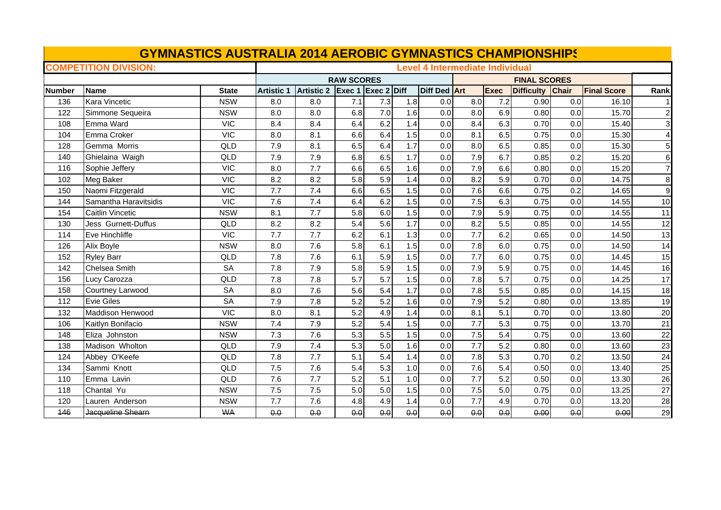| <b>GYMNASTICS AUSTRALIA 2014 AEROBIC GYMNASTICS CHAMPIONSHIPS</b> |                              |                                        |                   |                   |                    |                  |     |              |     |                     |                  |     |                    |                 |  |
|-------------------------------------------------------------------|------------------------------|----------------------------------------|-------------------|-------------------|--------------------|------------------|-----|--------------|-----|---------------------|------------------|-----|--------------------|-----------------|--|
|                                                                   | <b>COMPETITION DIVISION:</b> | <b>Level 4 Intermediate Individual</b> |                   |                   |                    |                  |     |              |     |                     |                  |     |                    |                 |  |
|                                                                   |                              |                                        | <b>RAW SCORES</b> |                   |                    |                  |     |              |     | <b>FINAL SCORES</b> |                  |     |                    |                 |  |
| <b>Number</b>                                                     | <b>Name</b>                  | <b>State</b>                           | <b>Artistic 1</b> | <b>Artistic 2</b> | Exec 1 Exec 2 Diff |                  |     | Diff Ded Art |     | <b>Exec</b>         | Difficulty Chair |     | <b>Final Score</b> | Rank            |  |
| 136                                                               | Kara Vincetic                | <b>NSW</b>                             | 8.0               | 8.0               | 7.1                | 7.3              | 1.8 | 0.0          | 8.0 | 7.2                 | 0.90             | 0.0 | 16.10              |                 |  |
| 122                                                               | Simmone Sequeira             | <b>NSW</b>                             | 8.0               | 8.0               | 6.8                | 7.0              | 1.6 | 0.0          | 8.0 | 6.9                 | 0.80             | 0.0 | 15.70              | $\overline{2}$  |  |
| 108                                                               | Emma Ward                    | <b>VIC</b>                             | 8.4               | 8.4               | 6.4                | 6.2              | 1.4 | 0.0          | 8.4 | 6.3                 | 0.70             | 0.0 | 15.40              | 3               |  |
| 104                                                               | Emma Croker                  | <b>VIC</b>                             | 8.0               | 8.1               | 6.6                | 6.4              | 1.5 | 0.0          | 8.1 | 6.5                 | 0.75             | 0.0 | 15.30              |                 |  |
| 128                                                               | Gemma Morris                 | QLD                                    | 7.9               | 8.1               | 6.5                | 6.4              | 1.7 | 0.0          | 8.0 | 6.5                 | 0.85             | 0.0 | 15.30              |                 |  |
| 140                                                               | Ghielaina Waigh              | QLD                                    | 7.9               | 7.9               | 6.8                | 6.5              | 1.7 | 0.0          | 7.9 | 6.7                 | 0.85             | 0.2 | 15.20              | 6               |  |
| 116                                                               | Sophie Jeffery               | <b>VIC</b>                             | 8.0               | 7.7               | 6.6                | 6.5              | 1.6 | 0.0          | 7.9 | 6.6                 | 0.80             | 0.0 | 15.20              | $\overline{7}$  |  |
| 102                                                               | Meg Baker                    | <b>VIC</b>                             | 8.2               | 8.2               | 5.8                | 5.9              | 1.4 | 0.0          | 8.2 | 5.9                 | 0.70             | 0.0 | 14.75              | 8               |  |
| 150                                                               | Naomi Fitzgerald             | <b>VIC</b>                             | 7.7               | 7.4               | 6.6                | 6.5              | 1.5 | 0.0          | 7.6 | 6.6                 | 0.75             | 0.2 | 14.65              | 9               |  |
| 144                                                               | Samantha Haravitsidis        | <b>VIC</b>                             | 7.6               | 7.4               | 6.4                | 6.2              | 1.5 | 0.0          | 7.5 | 6.3                 | 0.75             | 0.0 | 14.55              | 10              |  |
| 154                                                               | <b>Caitlin Vincetic</b>      | <b>NSW</b>                             | 8.1               | 7.7               | 5.8                | 6.0              | 1.5 | 0.0          | 7.9 | 5.9                 | 0.75             | 0.0 | 14.55              | 11              |  |
| 130                                                               | Jess Gurnett-Duffus          | QLD                                    | 8.2               | 8.2               | 5.4                | 5.6              | 1.7 | 0.0          | 8.2 | 5.5                 | 0.85             | 0.0 | 14.55              | 12              |  |
| 114                                                               | Eve Hinchliffe               | <b>VIC</b>                             | 7.7               | 7.7               | 6.2                | 6.1              | 1.3 | 0.0          | 7.7 | 6.2                 | 0.65             | 0.0 | 14.50              | 13              |  |
| 126                                                               | Alix Boyle                   | <b>NSW</b>                             | 8.0               | 7.6               | 5.8                | 6.1              | 1.5 | 0.0          | 7.8 | 6.0                 | 0.75             | 0.0 | 14.50              | 14              |  |
| 152                                                               | <b>Ryley Barr</b>            | QLD                                    | 7.8               | 7.6               | 6.1                | 5.9              | 1.5 | 0.0          | 7.7 | 6.0                 | 0.75             | 0.0 | 14.45              | 15              |  |
| 142                                                               | Chelsea Smith                | <b>SA</b>                              | 7.8               | 7.9               | 5.8                | 5.9              | 1.5 | 0.0          | 7.9 | 5.9                 | 0.75             | 0.0 | 14.45              | 16              |  |
| 156                                                               | Lucy Carozza                 | QLD                                    | 7.8               | 7.8               | 5.7                | 5.7              | 1.5 | 0.0          | 7.8 | 5.7                 | 0.75             | 0.0 | 14.25              | 17              |  |
| 158                                                               | Courtney Larwood             | <b>SA</b>                              | 8.0               | 7.6               | 5.6                | 5.4              | 1.7 | 0.0          | 7.8 | 5.5                 | 0.85             | 0.0 | 14.15              | 18              |  |
| 112                                                               | <b>Evie Giles</b>            | <b>SA</b>                              | 7.9               | 7.8               | 5.2                | 5.2              | 1.6 | 0.0          | 7.9 | 5.2                 | 0.80             | 0.0 | 13.85              | 19              |  |
| 132                                                               | Maddison Henwood             | <b>VIC</b>                             | 8.0               | 8.1               | 5.2                | 4.9              | 1.4 | 0.0          | 8.1 | 5.1                 | 0.70             | 0.0 | 13.80              | 20              |  |
| 106                                                               | Kaitlyn Bonifacio            | <b>NSW</b>                             | 7.4               | 7.9               | 5.2                | 5.4              | 1.5 | 0.0          | 7.7 | 5.3                 | 0.75             | 0.0 | 13.70              | 21              |  |
| 148                                                               | Eliza Johnston               | <b>NSW</b>                             | 7.3               | 7.6               | 5.3                | 5.5              | 1.5 | 0.0          | 7.5 | 5.4                 | 0.75             | 0.0 | 13.60              | 22              |  |
| 138                                                               | Madison Wholton              | QLD                                    | 7.9               | 7.4               | 5.3                | 5.0              | 1.6 | 0.0          | 7.7 | 5.2                 | 0.80             | 0.0 | 13.60              | 23              |  |
| 124                                                               | Abbey O'Keefe                | QLD                                    | 7.8               | 7.7               | 5.1                | $\overline{5.4}$ | 1.4 | 0.0          | 7.8 | 5.3                 | 0.70             | 0.2 | 13.50              | $\overline{24}$ |  |
| 134                                                               | Sammi Knott                  | QLD                                    | 7.5               | 7.6               | 5.4                | 5.3              | 1.0 | 0.0          | 7.6 | 5.4                 | 0.50             | 0.0 | 13.40              | 25              |  |
| 110                                                               | Emma Lavin                   | QLD                                    | 7.6               | 7.7               | 5.2                | 5.1              | 1.0 | 0.0          | 7.7 | 5.2                 | 0.50             | 0.0 | 13.30              | 26              |  |
| 118                                                               | Chantal Yu                   | <b>NSW</b>                             | 7.5               | 7.5               | 5.0                | 5.0              | 1.5 | 0.0          | 7.5 | 5.0                 | 0.75             | 0.0 | 13.25              | 27              |  |
| 120                                                               | Lauren Anderson              | <b>NSW</b>                             | 7.7               | 7.6               | 4.8                | 4.9              | 1.4 | 0.0          | 7.7 | 4.9                 | 0.70             | 0.0 | 13.20              | 28              |  |
| 146                                                               | Jacqueline Shearn            | <b>WA</b>                              | 0.0               | 0.0               | 0.0                | 0.0              | 0.0 | 0.0          | 0.0 | 0.0                 | 0.00             | 0.0 | 0.00               | 29              |  |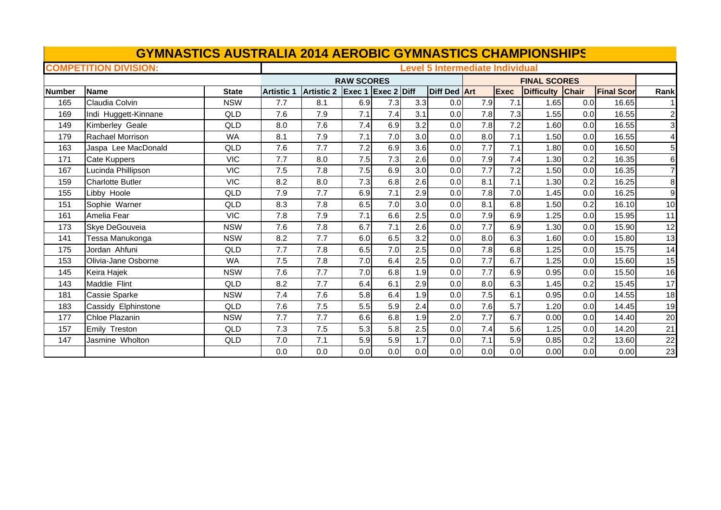| <b>GYMNASTICS AUSTRALIA 2014 AEROBIC GYMNASTICS CHAMPIONSHIPS</b> |                              |                                        |                   |                   |                    |     |     |              |                     |             |                   |       |                   |                |
|-------------------------------------------------------------------|------------------------------|----------------------------------------|-------------------|-------------------|--------------------|-----|-----|--------------|---------------------|-------------|-------------------|-------|-------------------|----------------|
|                                                                   | <b>COMPETITION DIVISION:</b> | <b>Level 5 Intermediate Individual</b> |                   |                   |                    |     |     |              |                     |             |                   |       |                   |                |
|                                                                   |                              |                                        |                   |                   | <b>RAW SCORES</b>  |     |     |              | <b>FINAL SCORES</b> |             |                   |       |                   |                |
| <b>Number</b>                                                     | <b>Name</b>                  | <b>State</b>                           | <b>Artistic 1</b> | <b>Artistic 2</b> | Exec 1 Exec 2 Diff |     |     | Diff Ded Art |                     | <b>Exec</b> | <b>Difficulty</b> | Chair | <b>Final Scor</b> | Rank           |
| 165                                                               | Claudia Colvin               | <b>NSW</b>                             | 7.7               | 8.1               | 6.9                | 7.3 | 3.3 | 0.0          | 7.9                 | 7.1         | 1.65              | 0.0   | 16.65             |                |
| 169                                                               | Indi Huggett-Kinnane         | QLD                                    | 7.6               | 7.9               | 7.1                | 7.4 | 3.1 | 0.0          | 7.8                 | 7.3         | 1.55              | 0.0   | 16.55             | $\mathbf{2}$   |
| 149                                                               | Kimberley Geale              | QLD                                    | 8.0               | 7.6               | 7.4                | 6.9 | 3.2 | 0.0          | 7.8                 | 7.2         | 1.60              | 0.0   | 16.55             | $\mathbf{3}$   |
| 179                                                               | Rachael Morrison             | <b>WA</b>                              | 8.1               | 7.9               | 7.1                | 7.0 | 3.0 | 0.0          | 8.0                 | 7.1         | 1.50              | 0.0   | 16.55             | $\overline{4}$ |
| 163                                                               | Jaspa Lee MacDonald          | QLD                                    | 7.6               | 7.7               | 7.2                | 6.9 | 3.6 | 0.0          | 7.7                 | 7.1         | 1.80              | 0.0   | 16.50             | 5 <sub>l</sub> |
| 171                                                               | Cate Kuppers                 | <b>VIC</b>                             | 7.7               | 8.0               | 7.5                | 7.3 | 2.6 | 0.0          | 7.9                 | 7.4         | 1.30              | 0.2   | 16.35             | $6 \mid$       |
| 167                                                               | Lucinda Phillipson           | <b>VIC</b>                             | 7.5               | 7.8               | 7.5                | 6.9 | 3.0 | 0.0          | 7.7                 | 7.2         | 1.50              | 0.0   | 16.35             | $\overline{7}$ |
| 159                                                               | <b>Charlotte Butler</b>      | <b>VIC</b>                             | 8.2               | 8.0               | 7.3                | 6.8 | 2.6 | 0.0          | 8.1                 | 7.1         | 1.30              | 0.2   | 16.25             | 8 <sup>1</sup> |
| 155                                                               | Libby Hoole                  | QLD                                    | 7.9               | 7.7               | 6.9                | 7.1 | 2.9 | 0.0          | 7.8                 | 7.0         | 1.45              | 0.0   | 16.25             | 9              |
| 151                                                               | Sophie Warner                | QLD                                    | 8.3               | 7.8               | 6.5                | 7.0 | 3.0 | 0.0          | 8.1                 | 6.8         | 1.50              | 0.2   | 16.10             | 10             |
| 161                                                               | Amelia Fear                  | <b>VIC</b>                             | 7.8               | 7.9               | 7.1                | 6.6 | 2.5 | 0.0          | 7.9                 | 6.9         | 1.25              | 0.0   | 15.95             | 11             |
| 173                                                               | Skye DeGouveia               | <b>NSW</b>                             | 7.6               | 7.8               | 6.7                | 7.1 | 2.6 | 0.0          | 7.7                 | 6.9         | 1.30              | 0.0   | 15.90             | 12             |
| 141                                                               | Tessa Manukonga              | <b>NSW</b>                             | 8.2               | 7.7               | 6.0                | 6.5 | 3.2 | 0.0          | 8.0                 | 6.3         | 1.60              | 0.0   | 15.80             | 13             |
| 175                                                               | Jordan Ahfuni                | QLD                                    | 7.7               | 7.8               | 6.5                | 7.0 | 2.5 | 0.0          | 7.8                 | 6.8         | 1.25              | 0.0   | 15.75             | 14             |
| 153                                                               | Olivia-Jane Osborne          | <b>WA</b>                              | 7.5               | 7.8               | 7.0                | 6.4 | 2.5 | 0.0          | 7.7                 | 6.7         | 1.25              | 0.0   | 15.60             | 15             |
| 145                                                               | Keira Hajek                  | <b>NSW</b>                             | 7.6               | 7.7               | 7.0                | 6.8 | 1.9 | 0.0          | 7.7                 | 6.9         | 0.95              | 0.0   | 15.50             | 16             |
| 143                                                               | Maddie Flint                 | QLD                                    | 8.2               | 7.7               | 6.4                | 6.1 | 2.9 | 0.0          | 8.0                 | 6.3         | 1.45              | 0.2   | 15.45             | 17             |
| 181                                                               | Cassie Sparke                | <b>NSW</b>                             | 7.4               | 7.6               | 5.8                | 6.4 | 1.9 | 0.0          | 7.5                 | 6.1         | 0.95              | 0.0   | 14.55             | 18             |
| 183                                                               | Cassidy Elphinstone          | QLD                                    | 7.6               | 7.5               | 5.5                | 5.9 | 2.4 | 0.0          | 7.6                 | 5.7         | 1.20              | 0.0   | 14.45             | 19             |
| 177                                                               | Chloe Plazanin               | <b>NSW</b>                             | 7.7               | 7.7               | 6.6                | 6.8 | 1.9 | 2.0          | 7.7                 | 6.7         | 0.00              | 0.0   | 14.40             | 20             |
| 157                                                               | Emily Treston                | QLD                                    | 7.3               | 7.5               | 5.3                | 5.8 | 2.5 | 0.0          | 7.4                 | 5.6         | 1.25              | 0.0   | 14.20             | 21             |
| 147                                                               | Jasmine Wholton              | QLD                                    | 7.0               | 7.1               | 5.9                | 5.9 | 1.7 | 0.0          | 7.1                 | 5.9         | 0.85              | 0.2   | 13.60             | 22             |
|                                                                   |                              |                                        | 0.0               | 0.0               | 0.0                | 0.0 | 0.0 | 0.0          | 0.0                 | 0.0         | 0.00              | 0.0   | 0.00              | 23             |